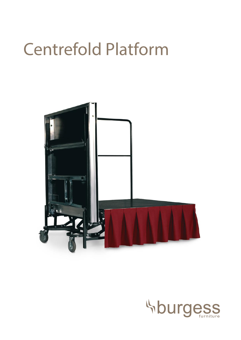# Centrefold Platform



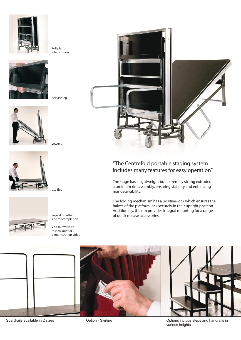



Release leg

Roll platform into position







Repeat on other side for completion

...to floor

Visit our website to view our full demonstration video



# "The Centrefold portable staging system includes many features for easy operation"

The stage has a lightweight but extremely strong extruded aluminium rim assembly, ensuring stability and enhancing manoeuvrability.

The folding mechanism has a positive-lock which ensures the halves of the platform lock securely in their upright position. Additionally, the rim provides integral mounting for a range of quick release accessories.



various heights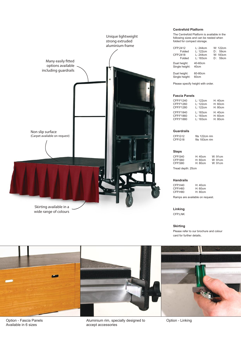

# **Centrefold Platform**

The Centrefold Platform is available in the following sizes and can be nested when folded for compact storage.

| CFP.2412<br>Folded<br>CFP.2418<br>Folded | l · 244cm<br>L: 122cm<br>L: 244cm<br>L: 183cm | W: 122cm<br>D: 59cm<br>W: 183cm<br>D: 59cm |
|------------------------------------------|-----------------------------------------------|--------------------------------------------|
| Dual height:<br>Single height:           | 40-60cm<br>40cm                               |                                            |
| Dual height:<br>Single height:           | 60-80cm<br>60cm                               |                                            |

Please specify height with order.

# **Fascia Panels**

| CFP.F1240<br>CFP.F1260<br>CFP.F1280 | L: 122cm<br>L: 122cm<br>L: 122cm | H: 40cm<br>H: 60cm<br>H: 80cm |
|-------------------------------------|----------------------------------|-------------------------------|
| CFP.F1840                           | L: 183cm                         | H: 40cm                       |
| CFP.F1860                           | L: 183cm                         | H: 60cm                       |
| CFP.F1880                           | L: 183cm                         | H: 80cm                       |

# **Guardrails**

CFP.G12 fits 122cm rim<br>CFP.G18 fits 183cm rim fits 183cm rim

# **Steps**

| CFP.S40<br>CFP.S60 | H:40cm<br>H:60cm | W:91cm<br>W:91cm |
|--------------------|------------------|------------------|
| CFP.S80            | H: 80cm          | W:91cm           |
| Tread depth: 25cm  |                  |                  |

#### **Handrails**

CFP.H40 H: 40cm<br>CFP.H60 H: 60cm CFP.H60 H: 60cm<br>CFP.H80 H: 80cm CFP.H80

Ramps are available on request.

# **Linking**

CFP.LNK

# **Skirting**

Please refer to our brochure and colour card for further details.



Option - Fascia Panels Available in 6 sizes

Aluminium rim, specially designed to accept accessories

Option - Linking